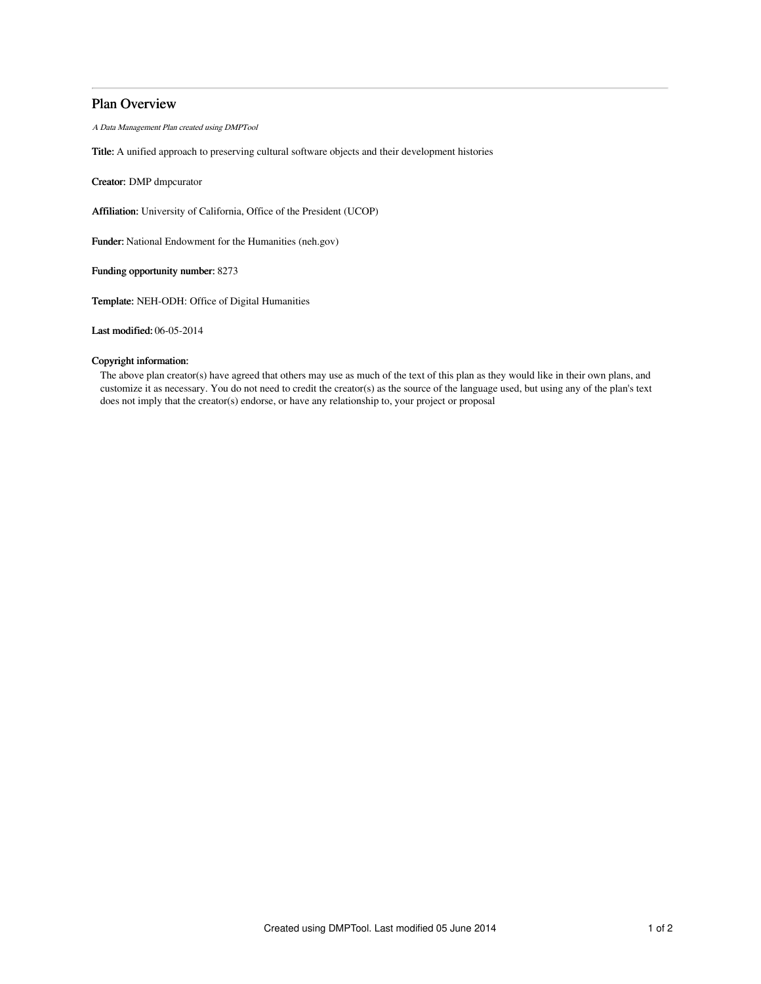## Plan Overview

A Data Management Plan created using DMPTool

Title: A unified approach to preserving cultural software objects and their development histories

Creator: DMP dmpcurator

Affiliation: University of California, Office of the President (UCOP)

Funder: National Endowment for the Humanities (neh.gov)

Funding opportunity number: 8273

Template: NEH-ODH: Office of Digital Humanities

Last modified: 06-05-2014

## Copyright information:

The above plan creator(s) have agreed that others may use as much of the text of this plan as they would like in their own plans, and customize it as necessary. You do not need to credit the creator(s) as the source of the language used, but using any of the plan's text does not imply that the creator(s) endorse, or have any relationship to, your project or proposal